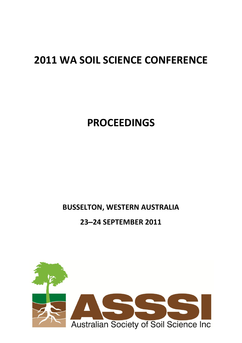## **2011 WA SOIL SCIENCE CONFERENCE**

# **PROCEEDINGS**

### **BUSSELTON, WESTERN AUSTRALIA**

#### **23‒24 SEPTEMBER 2011**